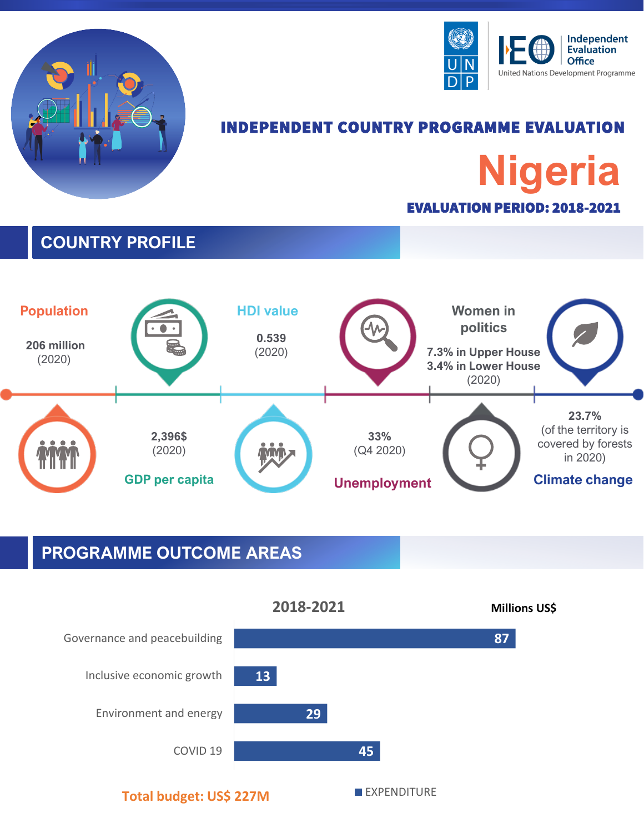



# INDEPENDENT COUNTRY PROGRAMME EVALUATION **Nigeria** EVALUATION PERIOD: 2018-2021

### **COUNTRY PROFILE**



### **PROGRAMME OUTCOME AREAS**